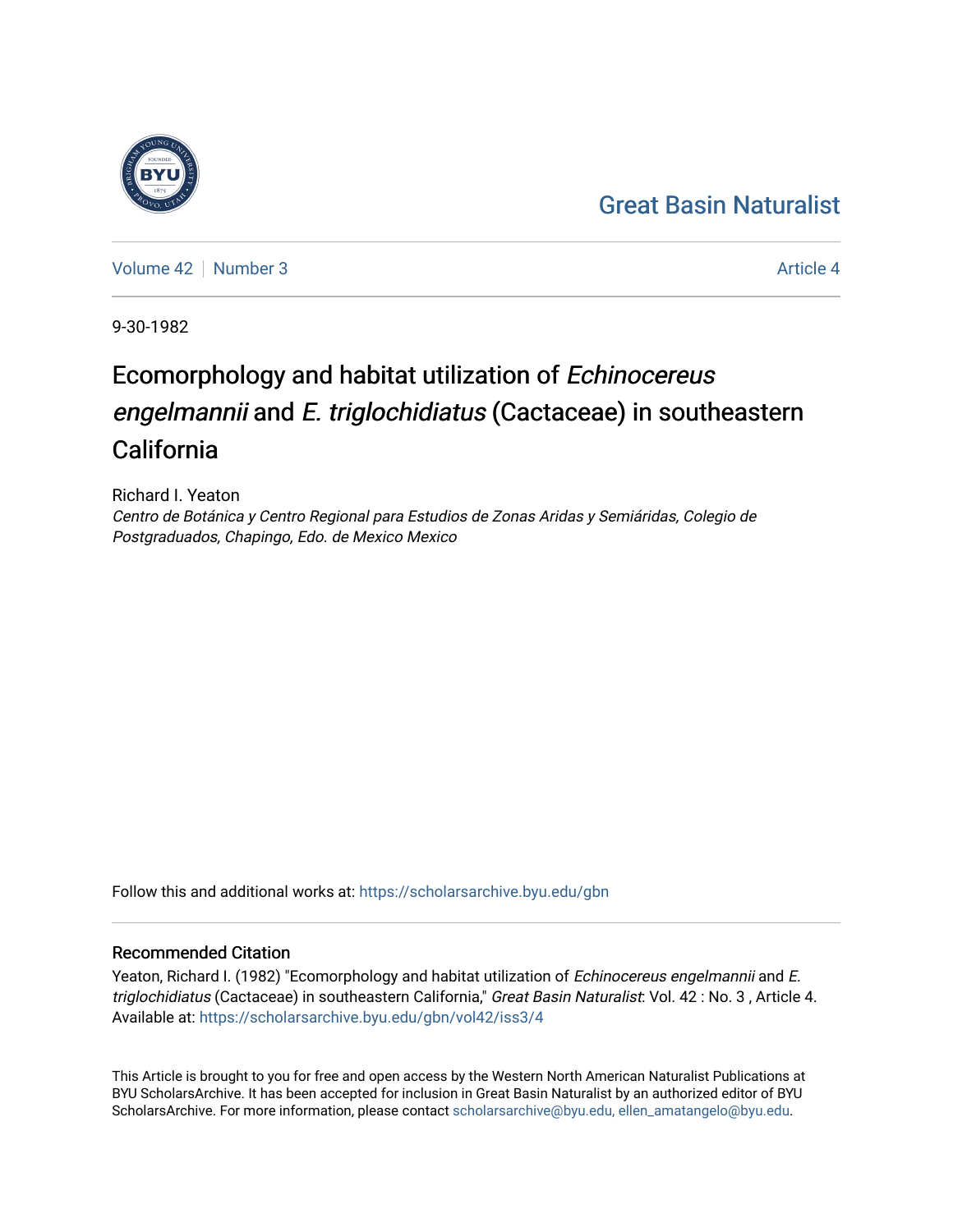## [Great Basin Naturalist](https://scholarsarchive.byu.edu/gbn)



[Volume 42](https://scholarsarchive.byu.edu/gbn/vol42) [Number 3](https://scholarsarchive.byu.edu/gbn/vol42/iss3) Article 4

9-30-1982

# Ecomorphology and habitat utilization of Echinocereus engelmannii and E. triglochidiatus (Cactaceae) in southeastern California

Richard I. Yeaton Centro de Botánica y Centro Regional para Estudios de Zonas Aridas y Semiáridas, Colegio de Postgraduados, Chapingo, Edo. de Mexico Mexico

Follow this and additional works at: [https://scholarsarchive.byu.edu/gbn](https://scholarsarchive.byu.edu/gbn?utm_source=scholarsarchive.byu.edu%2Fgbn%2Fvol42%2Fiss3%2F4&utm_medium=PDF&utm_campaign=PDFCoverPages) 

### Recommended Citation

Yeaton, Richard I. (1982) "Ecomorphology and habitat utilization of Echinocereus engelmannii and E. triglochidiatus (Cactaceae) in southeastern California," Great Basin Naturalist: Vol. 42 : No. 3, Article 4. Available at: [https://scholarsarchive.byu.edu/gbn/vol42/iss3/4](https://scholarsarchive.byu.edu/gbn/vol42/iss3/4?utm_source=scholarsarchive.byu.edu%2Fgbn%2Fvol42%2Fiss3%2F4&utm_medium=PDF&utm_campaign=PDFCoverPages)

This Article is brought to you for free and open access by the Western North American Naturalist Publications at BYU ScholarsArchive. It has been accepted for inclusion in Great Basin Naturalist by an authorized editor of BYU ScholarsArchive. For more information, please contact [scholarsarchive@byu.edu, ellen\\_amatangelo@byu.edu.](mailto:scholarsarchive@byu.edu,%20ellen_amatangelo@byu.edu)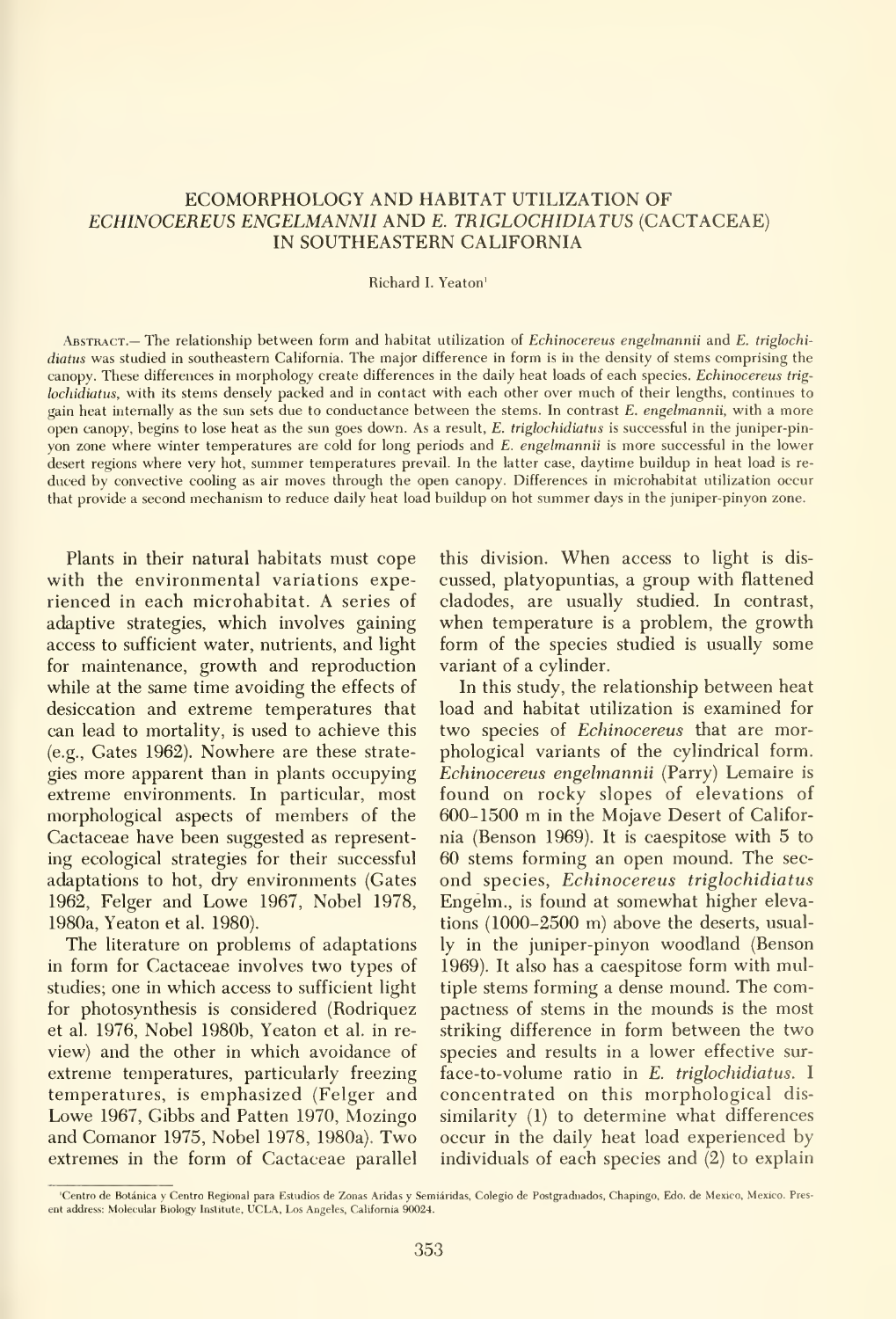#### ECOMORPHOLOGY AND HABITAT UTILIZATION OF ECHINOCEREUS ENGELMANNII AND E. TRIGLOCHIDIATUS (CACTACEAE) IN SOUTHEASTERN CALIFORNIA

#### Richard I. Yeaton'

ABSTRACT.— The relationship between form and habitat utilization of Echinocereus engelmannii and E. triglochidiatus was studied in southeastern California. The major difference in form is in the density of stems comprising the canopy. These differences in morphology create differences in the daily heat loads of each species. Echinocereus triglochidiatus, with its stems densely packed and in contact with each other over much of their lengths, continues to gain heat internally as the sun sets due to conductance between the stems. In contrast E. engelmannii, with a more open canopy, begins to lose heat as the sun goes down. As a result, E. triglochidiatus is successful in the juniper-pin yon zone where winter temperatures are cold for long periods and E. engelmannii is more successful in the lower desert regions where very hot, summer temperatures prevail. In the latter case, daytime buildup in heat load is re duced by convective cooling as air moves through the open canopy. Differences in microhabitat utilization occur that provide <sup>a</sup> second mechanism to reduce daily heat load buildup on hot summer days in the juniper-pinyon zone.

Plants in their natural habitats must cope with the environmental variations experienced in each microhabitat. A series of adaptive strategies, which involves gaining access to sufficient water, nutrients, and light for maintenance, growth and reproduction while at the same time avoiding the effects of desiccation and extreme temperatures that can lead to mortality, is used to achieve this (e.g.. Gates 1962). Nowhere are these strate gies more apparent than in plants occupying extreme environments. In particular, most morphological aspects of members of the Cactaceae have been suggested as representing ecological strategies for their successful adaptations to hot, dry environments (Gates 1962, Felger and Lowe 1967, Nobel 1978, 1980a, Yeaton et al. 1980).

The literature on problems of adaptations in form for Cactaceae involves two types of studies; one in which access to sufficient light for photosynthesis is considered (Rodriquez et al. 1976, Nobel 1980b, Yeaton et al. in re view) and the other in which avoidance of extreme temperatures, particularly freezing temperatures, is emphasized (Felger and Lowe 1967, Gibbs and Patten 1970, Mozingo and Comanor 1975, Nobel 1978, 1980a). Two extremes in the form of Cactaceae parallel this division. When access to light is dis cussed, platyopuntias, a group with flattened cladodes, are usually studied. In contrast, when temperature is a problem, the growth form of the species studied is usually some variant of a cylinder.

In this study, the relationship between heat load and habitat utilization is examined for two species of Echinocereus that are morphological variants of the cylindrical form. Echinocereus engelmannii (Parry) Lemaire is found on rocky slopes of elevations of 600-1500 m in the Mojave Desert of Califor nia (Benson 1969). It is caespitose with 5 to 60 stems forming an open mound. The sec ond species, Echinocereus triglochidiatus Engelm., is found at somewhat higher elevations (1000-2500 m) above the deserts, usually in the juniper-pinyon woodland (Benson 1969). It also has a caespitose form with multiple stems forming a dense mound. The compactness of stems in the mounds is the most striking difference in form between the two species and results in a lower effective sur face-to-volume ratio in E. triglochidiatus. <sup>I</sup> concentrated on this morphological dis similarity (1) to determine what differences occur in the daily heat load experienced by individuals of each species and (2) to explain

<sup>&#</sup>x27;Centre de Botanica y Centro Regional para Estudios de Zonas Aridas y Semidridas, Colegio de Postgraduados, Chapingo, Edo. de Mexico, Mexico. Pres ent address: Molecular Biology Institute, UCLA, Los Angeles, California 90024.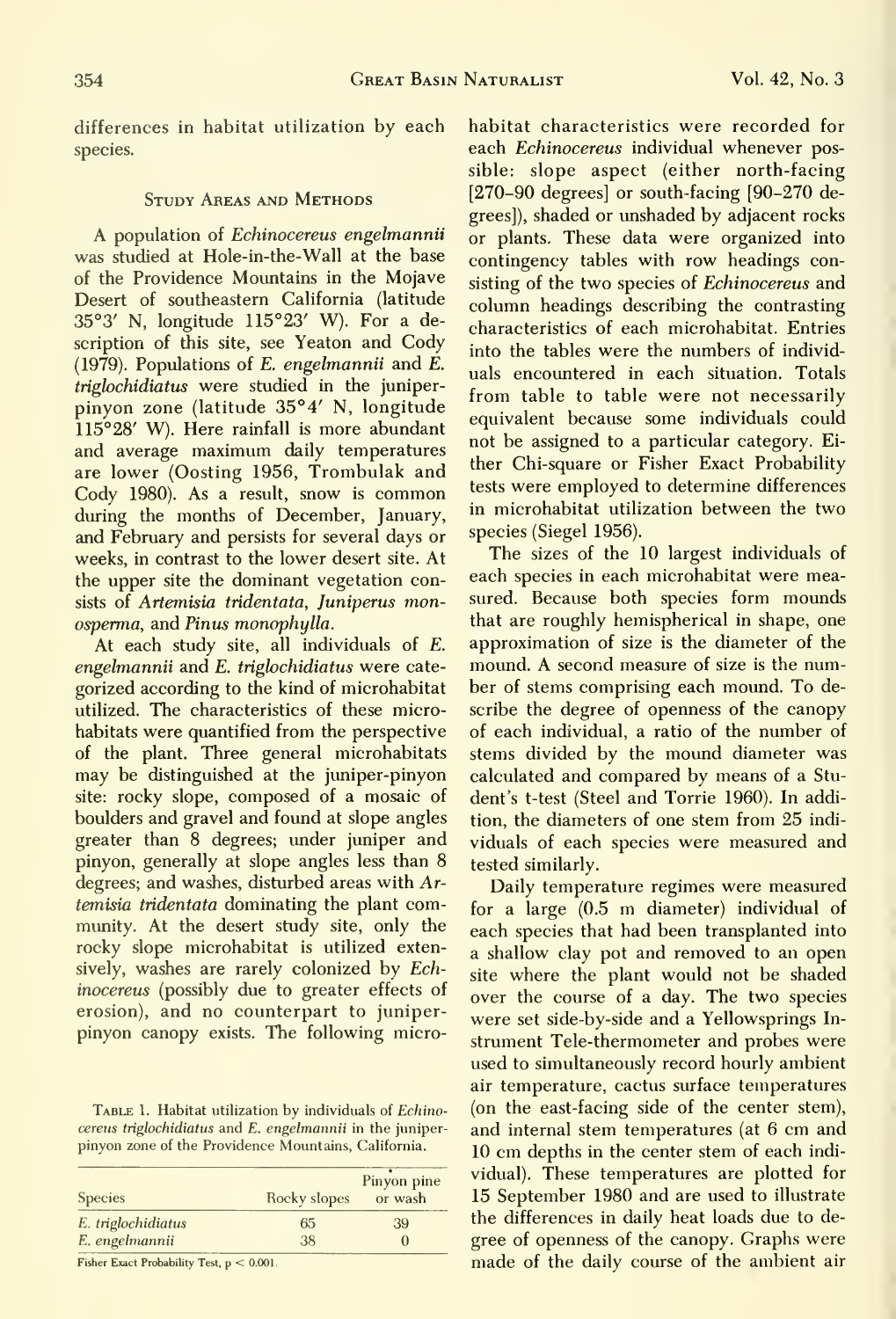differences in habitat utilization by each species.

#### Study Areas and Methods

A population of Echinocereus engelmannii was studied at Hole-in-the-Wall at the base of the Providence Mountains in the Mojave Desert of southeastern California (latitude 35°3' N, longitude 115°23' W). For a description of this site, see Yeaton and Cody (1979). Populations of E. engelmannii and E. triglochidiatus were studied in the juniperpinyon zone (latitude 35°4' N, longitude 115°28' W). Here rainfall is more abundant and average maximum daily temperatures are lower (Costing 1956, Trombulak and Cody 1980). As <sup>a</sup> result, snow is common during the months of December, January, and February and persists for several days or weeks, in contrast to the lower desert site. At the upper site the dominant vegetation consists of Artemisia tridentata, Juniperus monosperma, and Pinus monophylla.

At each study site, all individuals of E. engelmannii and E. triglochidiatus were cate gorized according to the kind of microhabitat utilized. The characteristics of these microhabitats were quantified from the perspective of the plant. Three general microhabitats may be distinguished at the juniper-pinyon site: rocky slope, composed of a mosaic of boulders and gravel and found at slope angles greater than 8 degrees; under juniper and pinyon, generally at slope angles less than 8 degrees; and washes, disturbed areas with Artemisia tridentata dominating the plant community. At the desert study site, only the rocky slope microhabitat is utilized extensively, washes are rarely colonized by Echinocereus (possibly due to greater effects of erosion), and no counterpart to juniperpinyon canopy exists. The following micro-

TABLE 1. Habitat utilization by individuals of Echinocereus triglochidiatus and E. engelmannii in the juniper pinyon zone of the Providence Mountains, California.

| <b>Species</b>     | Rocky slopes | Pinyon pine<br>or wash |  |
|--------------------|--------------|------------------------|--|
| E. triglochidiatus | 65           | 39                     |  |
| E. engelmannii     | 38           | O                      |  |

Fisher Exact Probability Test,  $p < 0.001$ .

habitat characteristics were recorded for each Echinocereus individual whenever possible: slope aspect (either north-facing [270-90 degrees] or south-facing [90-270 degrees]), shaded or unshaded by adjacent rocks or plants. These data were organized into contingency tables with row headings consisting of the two species of Echinocereus and column headings describing the contrasting characteristics of each microhabitat. Entries into the tables were the numbers of individ uals encountered in each situation. Totals from table to table were not necessarily equivalent because some individuals could not be assigned to a particular category. Ei ther Chi-square or Fisher Exact Probability tests were employed to determine differences in microhabitat utilization between the two species (Siegel 1956).

The sizes of the 10 largest individuals of each species in each microhabitat were measured. Because both species form mounds that are roughly hemispherical in shape, one approximation of size is the diameter of the mound. A second measure of size is the number of stems comprising each mound. To describe the degree of openness of the canopy of each individual, a ratio of the number of stems divided by the mound diameter was calculated and compared by means of a Stu dent's t-test (Steel and Torrie 1960). In addition, the diameters of one stem from 25 indi viduals of each species were measured and tested similarly.

Daily temperature regimes were measured for <sup>a</sup> large (0.5 m diameter) individual of each species that had been transplanted into a shallow clay pot and removed to an open site where the plant would not be shaded over the course of a day. The two species were set side-by-side and a Yellowsprings In strument Tele-thermometer and probes were used to simultaneously record hourly ambient air temperature, cactus surface temperatures (on the east-facing side of the center stem), and internal stem temperatures (at 6 cm and 10 cm depths in the center stem of each indi vidual). These temperatures are plotted for 15 September 1980 and are used to illustrate the differences in daily heat loads due to de gree of openness of the canopy. Graphs were made of the daily course of the ambient air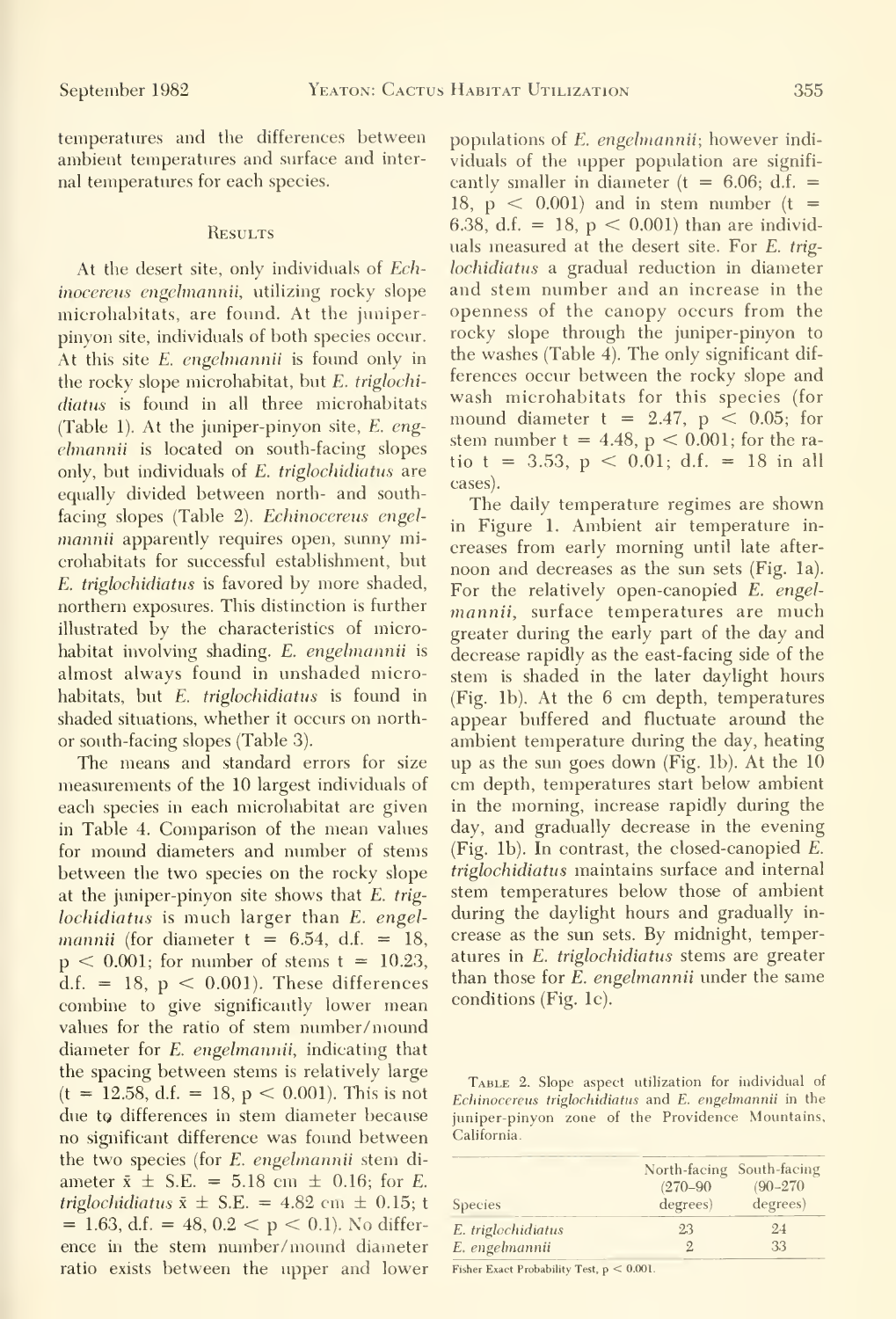temperatures and the differences between ambient temperatures and surface and inter nal temperatures for each species.

#### **RESULTS**

At the desert site, only individuals of *Ech*inocereus engelmannii, utilizing rocky slope microhabitats, are found. At the juniperpinyon site, individuals of both species occur. At this site E. engelmannii is found only in the rocky slope microhabitat, but E. trigloehidiatus is found in all three microhabitats (Table 1). At the juniper-pinyon site, E. eng elmannii is located on south-facing slopes only, but individuals of  $E$ . triglochidiatus are equally divided between north- and southfacing slopes (Table 2). Echinocereus engelmannii apparently requires open, sunny microhabitats for successful establishment, but E. triglochidiatus is favored by more shaded, northern exposures. This distinction is further illustrated by the characteristics of microhabitat involving shading. E. engelmannii is almost always found in unshaded microhabitats, but E. triglochidiatus is found in shaded situations, whether it occurs on northor south-facing slopes (Table 3).

The means and standard errors for size measurements of the 10 largest individuals of each species in each microhabitat are given in Table 4. Comparison of the mean values for mound diameters and number of stems between the two species on the rocky slope at the juniper-pinyon site shows that E. trig lochidiatus is much larger than E. engelmannii (for diameter  $t = 6.54$ , d.f. = 18,  $p < 0.001$ ; for number of stems  $t = 10.23$ , d.f. = 18,  $p < 0.001$ ). These differences combine to give significantly lower mean values for the ratio of stem number/ mound diameter for E. engelmannii, indicating that the spacing between stems is relatively large  $(t = 12.58, d.f. = 18, p < 0.001)$ . This is not due to differences in stem diameter because no significant difference was found between the two species (for E. engelmannii stem di ameter  $\bar{x} \pm S.E. = 5.18 \text{ cm } \pm 0.16$ ; for E. triglochidiatus  $\bar{x} \pm$  S.E. = 4.82 cm  $\pm$  0.15; t  $= 1.63$ , d.f.  $= 48$ ,  $0.2 < p < 0.1$ ). No difference in the stem number/mound diameter ratio exists between the upper and lower

populations of E. engelmannii; however individuals of the upper population are significantly smaller in diameter ( $t = 6.06$ ; d.f. = 18,  $p \le 0.001$  and in stem number  $(t =$ 6.38, d.f. = 18,  $p < 0.001$ ) than are individuals measured at the desert site. For E. triglochidiatus a gradual reduction in diameter and stem number and an increase in the openness of the canopy occurs from the rocky slope through the juniper-pinyon to the washes (Table 4). The only significant dif ferences occur between the rocky slope and wash microhabitats for this species (for mound diameter  $t = 2.47$ ,  $p < 0.05$ ; for stem number  $t = 4.48$ ,  $p < 0.001$ ; for the ratio t = 3.53,  $p < 0.01$ ; d.f. = 18 in all cases).

The daily temperature regimes are shown in Figure 1. Ambient air temperature in creases from early morning until late after noon and decreases as the sun sets (Fig. la). For the relatively open-canopied E. engelmannii, surface temperatures are much greater during the early part of the day and decrease rapidly as the east-facing side of the stem is shaded in the later daylight hours (Fig. lb). At the 6 cm depth, temperatures appear buffered and fluctuate around the ambient temperature during the day, heating up as the sun goes down (Fig. lb). At the 10 cm depth, temperatures start below ambient in the morning, increase rapidly during the day, and gradually decrease in the evening (Fig. lb). In contrast, the closed-canopied E. triglochidiatus maintains surface and internal stem temperatures below those of ambient during the daylight hours and gradually in crease as the sun sets. By midnight, temperatures in E. triglochidiatus stems are greater than those for E. engelmannii under the same conditions (Fig. Ic).

Table 2. Slope aspect utilization for individual of Echinocereus triglochidiatus and E. engelmannii in the juniper-pinyon zone of the Providence Mountains, California.

| <b>Species</b>     | North-facing South-facing<br>$(270 - 90)$<br>degrees) | $(90 - 270)$<br>degrees) |  |
|--------------------|-------------------------------------------------------|--------------------------|--|
| E. triglochidiatus | 23                                                    | 24                       |  |
| E. engelmannii     |                                                       | 33                       |  |

Fisher Exact Probability Test, <sup>p</sup> < 0.001.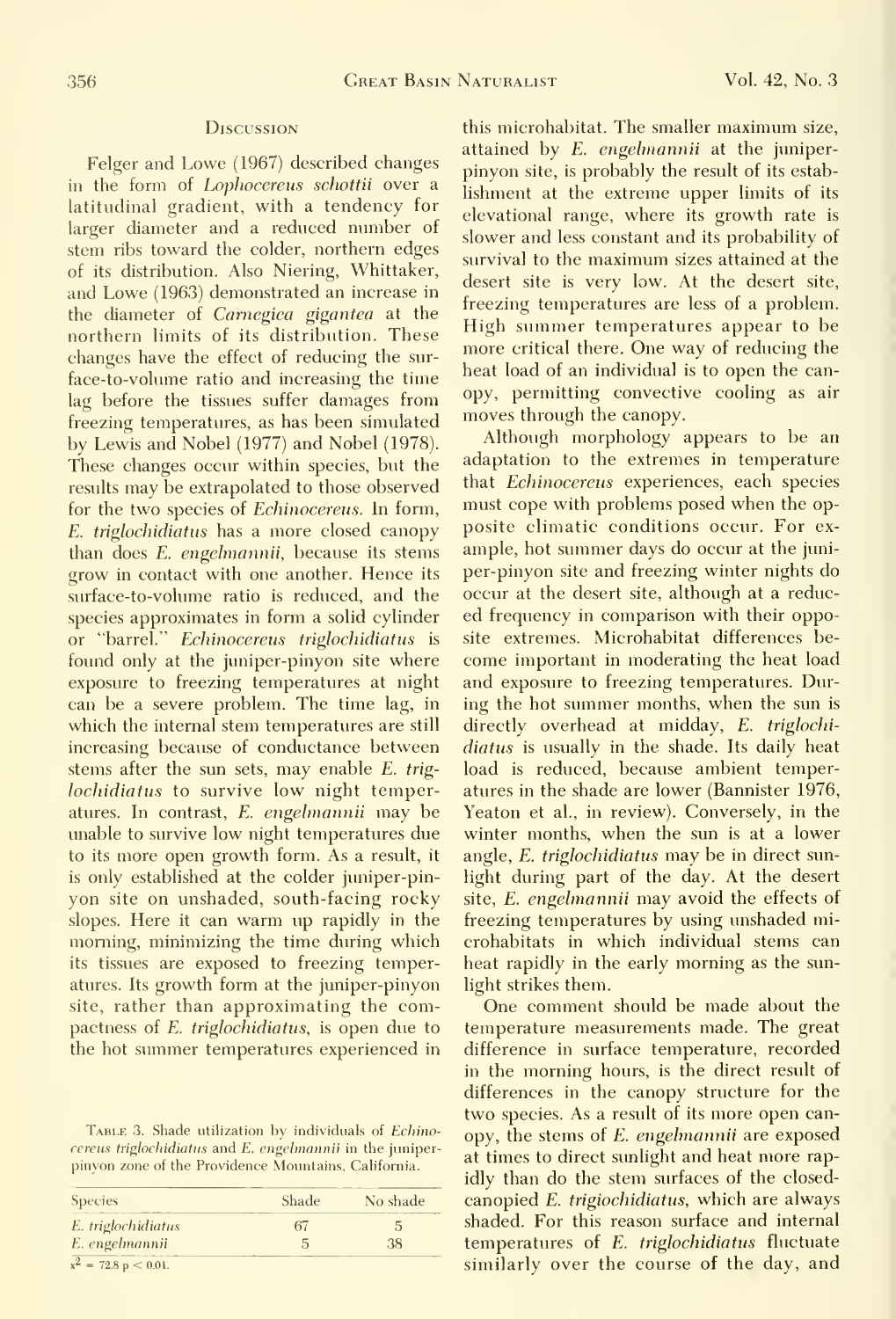#### **D***iscussion*

lag before the tissues suffer damages from opy, permitting convectively<br>freezing temperatures as been simulated moves through the canopy. freezing temperatures, as has been simulated surface-to-volume ratio is reduced, and the lochidiatus to survive low night temperis only established at the colder juniper-pinits tissues are exposed to freezing temperatures. Its growth form at the juniper-pinyon site, rather than approximating the com-

TABLE 3. Shade utilization by individuals of Echinopinyon zone of the Providence Mountains, California.

| <b>Species</b>                 | Shade | No shade |  |
|--------------------------------|-------|----------|--|
| E. triglochidiatus             | 67    |          |  |
| E. engelmannii                 |       | 38       |  |
| $x^2 = 72.8 \text{ p} < 0.01.$ |       |          |  |

this microhabitat. The smaller maximum size, Felger and Lowe (1967) described changes attained by E. engelmannii at the juniper-<br>pinyon site, is probably the result of its estabin the form of *Lophocereus schottii* over a lishment at the extreme upper limits of its latitudinal gradient, with a tendency for elevational range, where its growth rate is larger diameter and a reduced number of slower and less constant and its probability of stem ribs toward the colder, northern edges<br>survival to the maximum sizes attained at the of its distribution. Also Niering, Whittaker, desert site is very low. At the desert site, and Lowe (1963) demonstrated an increase in the desert site is very low. At the desert site, the diameter of *Carnegiea* gigantea at the **Heezing temperatures** are less of a problem. northern limits of its distribution. These the summer temperatures appear to be<br>changes have the effect of reducing the curchanges have the effect of reducing the sur-<br>heat load of an individual is to open the can-<br>heat load of an individual is to open the canface-to-volume ratio and increasing the time and individual is to open the can-<br>lag before the tissues suffer damages from opy, permitting convective cooling as air

Although morphology appears to be an by Lewis and Nobel (1977) and Nobel (1978). Although morphology appears to be an<br>These changes occur within species but the adaptation to the extremes in temperature These changes occur within species, but the adaptation to the extremes in temperature<br>results may be extrapolated to those observed that *Echinocereus* experiences, each species results may be extrapolated to those observed that *Echinocereus* experiences, each species<br>for the two species of *Echinocereus* In form must cope with problems posed when the opfor the two species of *Echinocereus*. In form, must cope with problems posed when the op-<br>E triglochidiatus has a more closed canony posite climatic conditions occur. For ex-E. triglochidiatus has a more closed canopy posite climatic conditions occur. For ex-<br>than does E. engelmannii, because its stems ample, hot summer days do occur at the junithan does *E. engelmannii*, because its stems ample, hot summer days do occur at the juni-<br>grow in contact with one another. Hence its per-pinyon site and freezing winter nights do grow in contact with one another. Hence its per-pinyon site and freezing winter nights do<br>surface-to-volume ratio is reduced, and the occur at the desert site, although at a reducspecies approximates in form a solid cylinder ed frequency in comparison with their oppoor "barrel." Echinocereus triglochidiatus is site extremes. Microhabitat differences befound only at the juniper-pinyon site where come important in moderating the heat load exposure to freezing temperatures at night and exposure to freezing temperatures. Durcan be a severe problem. The time lag, in ing the hot summer months, when the sun is which the internal stem temperatures are still directly overhead at midday, E. triglochiincreasing because of conductance between *diatus* is usually in the shade. Its daily heat stems after the sun sets, may enable E. trig- load is reduced, because ambient temperatures in the shade are lower (Bannister 1976, atures. In contrast, E. engelmannii may be Yeaton et al., in review). Conversely, in the unable to survive low night temperatures due winter months, when the sun is at a lower to its more open growth form. As a result, it angle, E. triglochidiatus may be in direct sunlight during part of the day. At the desert yon site on unshaded, south-facing rocky site, E. engelmannii may avoid the effects of slopes. Here it can warm up rapidly in the freezing temperatures by using unshaded mimorning, minimizing the time during which crohabitats in which individual stems can heat rapidly in the early morning as the sun-

One comment should be made about the pactness of E. triglochidiatus, is open due to temperature measurements made. The great the hot summer temperatures experienced in difference in surface temperature, recorded in the morning hours, is the direct result of differences in the canopy structure for the two species. As a result of its more open can-TABLE 3. Shade utilization by individuals of *Echino* opy, the stems of *E. engelmannii* are exposed<br>cereus triglochidiatus and E. engelmannii in the juniper-<br>at times to direct sunlight and heat more rapidly than do the stem surfaces of the closedcanopied E. trigiochidiatus, which are always shaded. For this reason surface and internal temperatures of E. triglochidiatus fluctuate similarly over the course of the day, and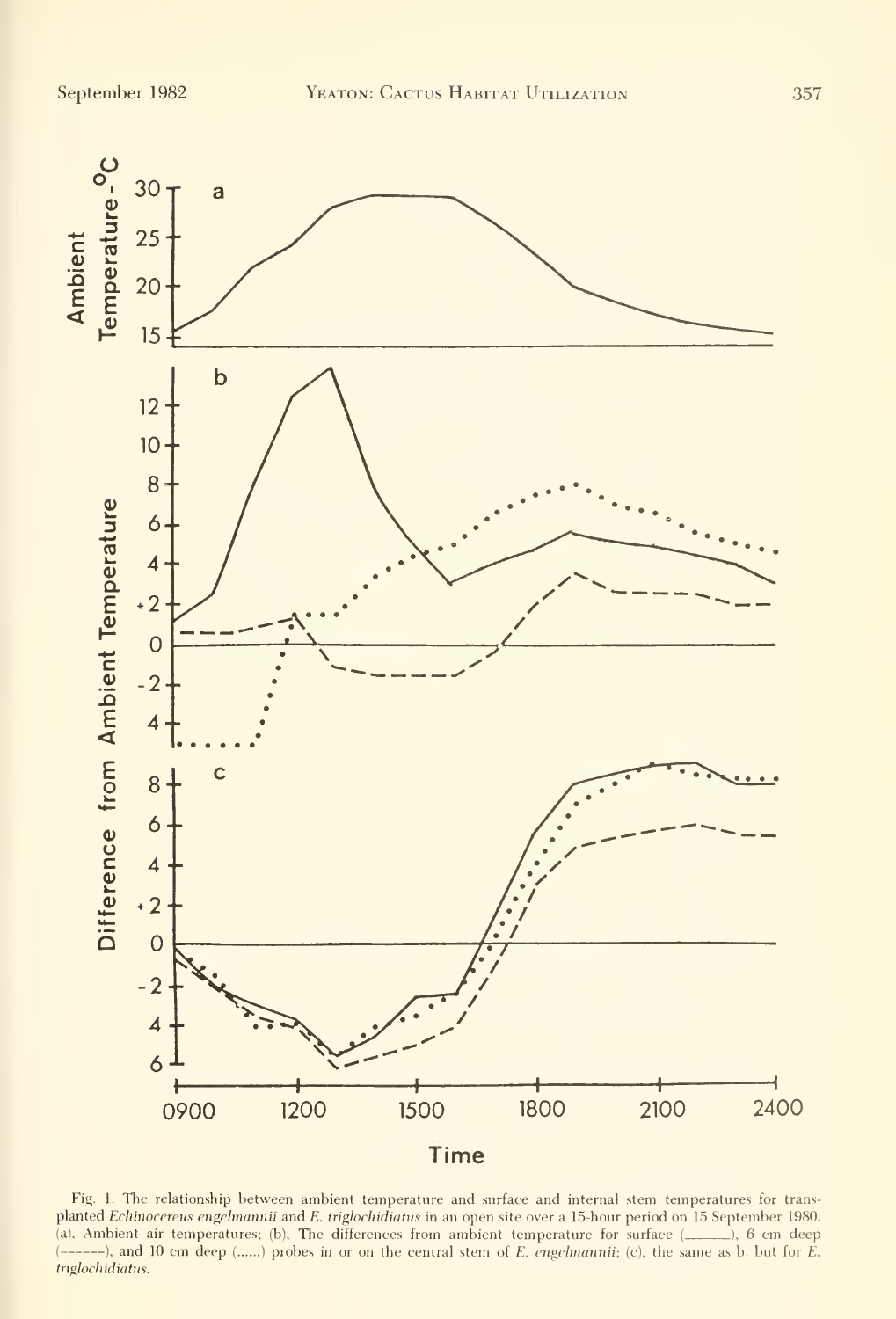

Fig. 1. The relationship between ambient temperature and surface and internal stem temperatures for transplanted Echinocereus engelmannii and E. triglochidiatus in an open site over a 15-hour period on 15 September 1980. (a), Ambient air temperatures; (b), The differences from ambient temperature for surface (..............), 6 cm deep  $(----)$ , and 10 cm deep (......) probes in or on the central stem of E. engelmannii; (c), the same as b. but for E. triglochidiatus.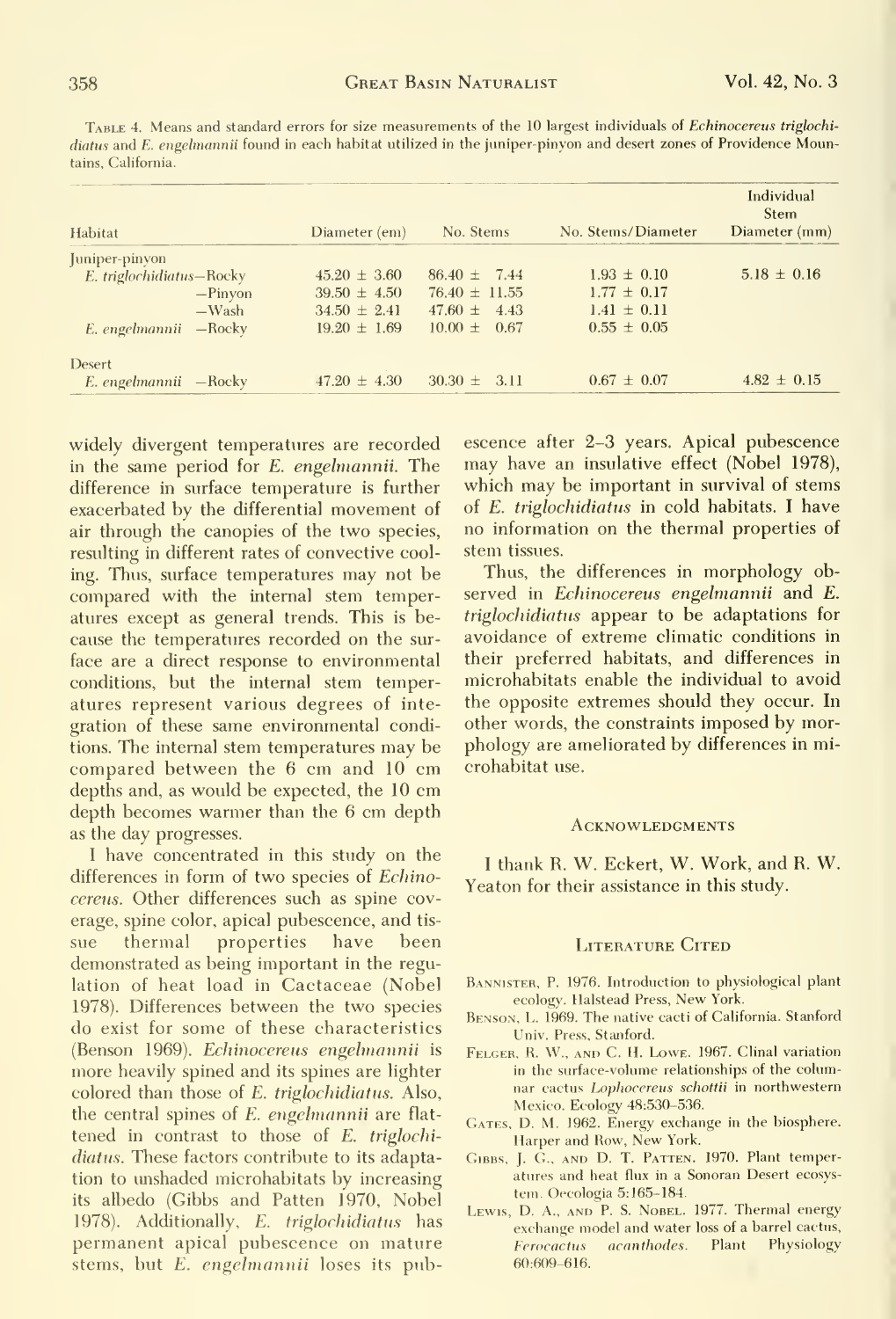Table 4. Means and standard errors for size measurements of the 10 largest individuals of Echinocereus triglochi diatus and E. engelmannii found in each habitat utilized in the juniper-pinyon and desert zones of Providence Moun-

| Habitat                  |           | Diameter (em)    | No. Stems         | No. Stems/Diameter | Individual<br><b>Stem</b><br>Diameter (mm) |
|--------------------------|-----------|------------------|-------------------|--------------------|--------------------------------------------|
| Juniper-pinyon           |           |                  |                   |                    |                                            |
| E. triglochidiatus-Rocky |           | $45.20 \pm 3.60$ | $86.40 \pm 7.44$  | $1.93 \pm 0.10$    | $5.18 \pm 0.16$                            |
|                          | $-Pinyon$ | $39.50 \pm 4.50$ | $76.40 \pm 11.55$ | $1.77 \pm 0.17$    |                                            |
|                          | $-Wash$   | $34.50 \pm 2.41$ | $47.60 \pm 4.43$  | $1.41 \pm 0.11$    |                                            |
| E. engelmannii -Rocky    |           | $19.20 \pm 1.69$ | $10.00 \pm 0.67$  | $0.55 \pm 0.05$    |                                            |
| Desert                   |           |                  |                   |                    |                                            |
| E. engelmannii — Rocky   |           | $47.20 \pm 4.30$ | $30.30 \pm 3.11$  | $0.67 \pm 0.07$    | $4.82 \pm 0.15$                            |

widely divergent temperatures are recorded in the same period for E. engelmannii. The difference in surface temperature is further exacerbated by the differential movement of air through the canopies of the two species, resulting in different rates of convective cooling. Thus, surface temperatures may not be compared with the internal stem temperatures except as general trends. This is because the temperatures recorded on the surface are a direct response to environmental conditions, but the internal stem temperatures represent various degrees of integration of these same environmental conditions. The internal stem temperatures may be compared between the 6 cm and 10 cm depths and, as would be expected, the 10 cm depth becomes warmer than the 6 cm depth as the day progresses.

I have concentrated in this study on the differences in form of two species of Echinocereus. Other differences such as spine coverage, spine color, apical pubescence, and tishave sue thermal properties been demonstrated as being important in the regulation of heat load in Cactaceae (Nobel 1978). Differences between the two species do exist for some of these characteristics (Benson 1969). Echinocereus engelmannii is more heavily spined and its spines are lighter colored than those of E. triglochidiatus. Also, the central spines of E. engelmannii are flattened in contrast to those of E. triglochidiatus. These factors contribute to its adaptation to unshaded microhabitats by increasing its albedo (Gibbs and Patten 1970, Nobel 1978). Additionally, E. triglochidiatus has permanent apical pubescence on mature stems, but E. engelmannii loses its pubescence after 2-3 years. Apical pubescence may have an insulative effect (Nobel 1978), which may be important in survival of stems of E. triglochidiatus in cold habitats. I have no information on the thermal properties of stem tissues.

Thus, the differences in morphology observed in Echinocereus engelmannii and E. triglochidiatus appear to be adaptations for avoidance of extreme climatic conditions in their preferred habitats, and differences in microhabitats enable the individual to avoid the opposite extremes should they occur. In other words, the constraints imposed by morphology are ameliorated by differences in microhabitat use.

#### **ACKNOWLEDGMENTS**

I thank R. W. Eckert, W. Work, and R. W. Yeaton for their assistance in this study.

#### **LITERATURE CITED**

- BANNISTER, P. 1976. Introduction to physiological plant ecology. Halstead Press, New York.
- BENSON, L. 1969. The native cacti of California. Stanford Univ. Press, Stanford.
- FELGER, R. W., AND C. H. LOWE. 1967. Clinal variation in the surface-volume relationships of the columnar cactus Lophocereus schottii in northwestern Mexico. Ecology 48:530-536.
- GATES, D. M. 1962. Energy exchange in the biosphere. Harper and Row, New York.
- GIBBS, J. G., AND D. T. PATTEN. 1970. Plant temperatures and heat flux in a Sonoran Desert ecosystem. Oecologia 5:165-184.
- LEWIS, D. A., AND P. S. NOBEL. 1977. Thermal energy exchange model and water loss of a barrel cactus, acanthodes. Plant Physiology Ferocactus 60:609-616.

tains, California.